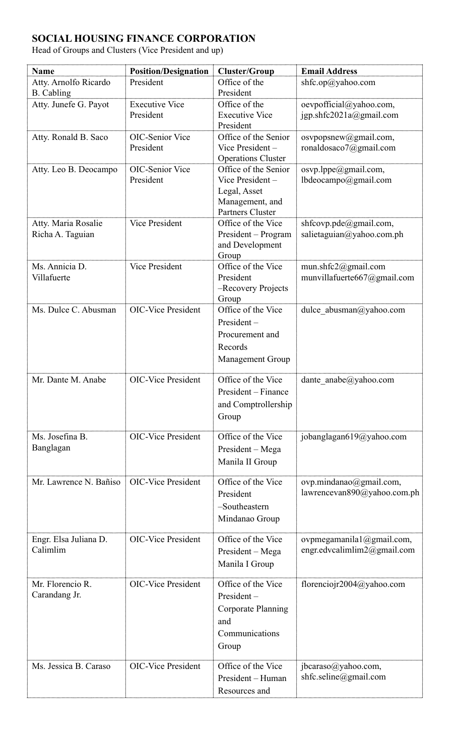## **SOCIAL HOUSING FINANCE CORPORATION**

Head of Groups and Clusters (Vice President and up)

| Name                                       | <b>Position/Designation</b>         | <b>Cluster/Group</b>                                                                                  | <b>Email Address</b>                                            |
|--------------------------------------------|-------------------------------------|-------------------------------------------------------------------------------------------------------|-----------------------------------------------------------------|
| Atty. Arnolfo Ricardo<br><b>B.</b> Cabling | President                           | Office of the<br>President                                                                            | shfc.op@yahoo.com                                               |
| Atty. Junefe G. Payot                      | <b>Executive Vice</b><br>President  | Office of the<br><b>Executive Vice</b><br>President                                                   | oevpofficial@yahoo.com,<br>jgp.shfc2021a@gmail.com              |
| Atty. Ronald B. Saco                       | <b>OIC-Senior Vice</b><br>President | Office of the Senior<br>Vice President-<br><b>Operations Cluster</b>                                  | osvpopsnew@gmail.com,<br>ronaldosaco7@gmail.com                 |
| Atty. Leo B. Deocampo                      | <b>OIC-Senior Vice</b><br>President | Office of the Senior<br>Vice President-<br>Legal, Asset<br>Management, and<br><b>Partners Cluster</b> | osvp.lppe@gmail.com,<br>lbdeocampo@gmail.com                    |
| Atty. Maria Rosalie<br>Richa A. Taguian    | <b>Vice President</b>               | Office of the Vice<br>President – Program<br>and Development<br>Group                                 | shfcovp.pde@gmail.com,<br>salietaguian@yahoo.com.ph             |
| Ms. Annicia D.<br>Villafuerte              | <b>Vice President</b>               | Office of the Vice<br>President<br>-Recovery Projects<br>Group                                        | mun.shfc2@gmail.com<br>munvillafuerte667@gmail.com              |
| Ms. Dulce C. Abusman                       | <b>OIC-Vice President</b>           | Office of the Vice<br>$President -$<br>Procurement and<br>Records<br><b>Management Group</b>          | dulce_abusman@yahoo.com                                         |
| Mr. Dante M. Anabe                         | <b>OIC-Vice President</b>           | Office of the Vice<br>President – Finance<br>and Comptrollership<br>Group                             | dante anabe@yahoo.com                                           |
| Ms. Josefina B.<br>Banglagan               | <b>OIC-Vice President</b>           | Office of the Vice<br>President – Mega<br>Manila II Group                                             | jobanglagan619@yahoo.com                                        |
| Mr. Lawrence N. Bañiso                     | <b>OIC-Vice President</b>           | Office of the Vice<br>President<br>-Southeastern<br>Mindanao Group                                    | $ovp.mindanao(\omega gmail.com)$<br>lawrencevan890@yahoo.com.ph |
| Engr. Elsa Juliana D.<br>Calimlim          | <b>OIC-Vice President</b>           | Office of the Vice<br>President - Mega<br>Manila I Group                                              | ovpmegamanila1@gmail.com,<br>engr.edvcalimlim2@gmail.com        |
| Mr. Florencio R.<br>Carandang Jr.          | <b>OIC-Vice President</b>           | Office of the Vice<br>$President -$<br><b>Corporate Planning</b><br>and<br>Communications<br>Group    | florenciojr2004@yahoo.com                                       |
| Ms. Jessica B. Caraso                      | <b>OIC-Vice President</b>           | Office of the Vice<br>President – Human<br>Resources and                                              | jbcaraso@yahoo.com,<br>shfc.seline@gmail.com                    |